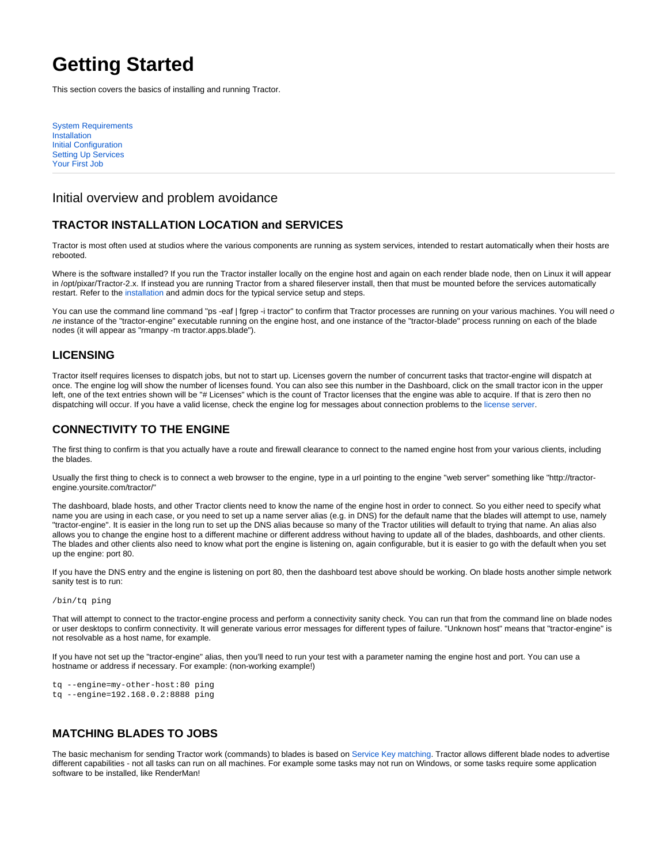# **Getting Started**

This section covers the basics of installing and running Tractor.

[System Requirements](https://rmanwiki.pixar.com/display/TRA/System+Requirements) [Installation](https://rmanwiki.pixar.com/display/TRA/Installation) [Initial Configuration](https://rmanwiki.pixar.com/display/TRA/Initial+Configuration) [Setting Up Services](https://rmanwiki.pixar.com/display/TRA/Setting+Up+Services) [Your First Job](https://rmanwiki.pixar.com/display/TRA/Your+First+Job)

## Initial overview and problem avoidance

# **TRACTOR INSTALLATION LOCATION and SERVICES**

Tractor is most often used at studios where the various components are running as system services, intended to restart automatically when their hosts are rebooted.

Where is the software installed? If you run the Tractor installer locally on the engine host and again on each render blade node, then on Linux it will appear in /opt/pixar/Tractor-2.x. If instead you are running Tractor from a shared fileserver install, then that must be mounted before the services automatically restart. Refer to the [installation](https://rmanwiki.pixar.com/display/TRA/Installation) and admin docs for the typical service setup and steps.

You can use the command line command "ps -eaf | fgrep -i tractor" to confirm that Tractor processes are running on your various machines. You will need o ne instance of the "tractor-engine" executable running on the engine host, and one instance of the "tractor-blade" process running on each of the blade nodes (it will appear as "rmanpy -m tractor.apps.blade").

#### **LICENSING**

Tractor itself requires licenses to dispatch jobs, but not to start up. Licenses govern the number of concurrent tasks that tractor-engine will dispatch at once. The engine log will show the number of licenses found. You can also see this number in the Dashboard, click on the small tractor icon in the upper left, one of the text entries shown will be "# Licenses" which is the count of Tractor licenses that the engine was able to acquire. If that is zero then no dispatching will occur. If you have a valid license, check the engine log for messages about connection problems to the [license server](https://rmanwiki.pixar.com/display/TRA/Initial+Configuration).

#### **CONNECTIVITY TO THE ENGINE**

The first thing to confirm is that you actually have a route and firewall clearance to connect to the named engine host from your various clients, including the blades.

Usually the first thing to check is to connect a web browser to the engine, type in a url pointing to the engine "web server" something like "http://tractorengine.yoursite.com/tractor/"

The dashboard, blade hosts, and other Tractor clients need to know the name of the engine host in order to connect. So you either need to specify what name you are using in each case, or you need to set up a name server alias (e.g. in DNS) for the default name that the blades will attempt to use, namely "tractor-engine". It is easier in the long run to set up the DNS alias because so many of the Tractor utilities will default to trying that name. An alias also allows you to change the engine host to a different machine or different address without having to update all of the blades, dashboards, and other clients. The blades and other clients also need to know what port the engine is listening on, again configurable, but it is easier to go with the default when you set up the engine: port 80.

If you have the DNS entry and the engine is listening on port 80, then the dashboard test above should be working. On blade hosts another simple network sanity test is to run:

#### /bin/tq ping

That will attempt to connect to the tractor-engine process and perform a connectivity sanity check. You can run that from the command line on blade nodes or user desktops to confirm connectivity. It will generate various error messages for different types of failure. "Unknown host" means that "tractor-engine" is not resolvable as a host name, for example.

If you have not set up the "tractor-engine" alias, then you'll need to run your test with a parameter naming the engine host and port. You can use a hostname or address if necessary. For example: (non-working example!)

```
tq --engine=my-other-host:80 ping
tq --engine=192.168.0.2:8888 ping
```
### **MATCHING BLADES TO JOBS**

The basic mechanism for sending Tractor work (commands) to blades is based on [Service Key matching](https://rmanwiki.pixar.com/display/TRA/Your+First+Job). Tractor allows different blade nodes to advertise different capabilities - not all tasks can run on all machines. For example some tasks may not run on Windows, or some tasks require some application software to be installed, like RenderMan!